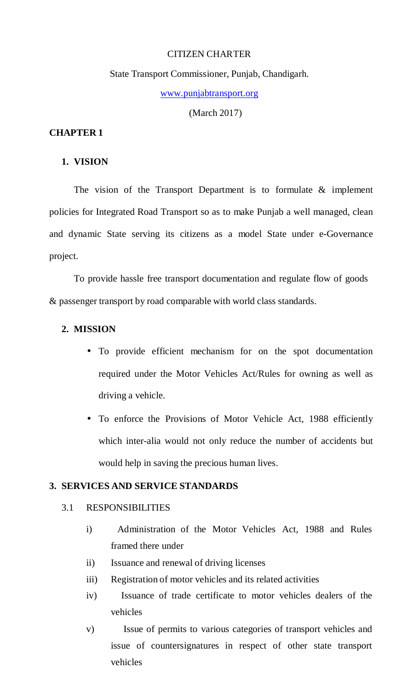#### CITIZEN CHARTER

#### State Transport Commissioner, Punjab, Chandigarh.

www.punjabtransport.org

(March 2017)

#### **CHAPTER 1**

## **1. VISION**

The vision of the Transport Department is to formulate & implement policies for Integrated Road Transport so as to make Punjab a well managed, clean and dynamic State serving its citizens as a model State under e-Governance project.<br>To provide hassle free transport documentation and regulate flow of goods

& passenger transport by road comparable with world class standards.

#### **2. MISSION**

- To provide efficient mechanism for on the spot documentation required under the Motor Vehicles Act/Rules for owning as well as driving a vehicle.
- To enforce the Provisions of Motor Vehicle Act, 1988 efficiently which inter-alia would not only reduce the number of accidents but would help in saving the precious human lives.

#### **3. SERVICES AND SERVICE STANDARDS**

#### 3.1 RESPONSIBILITIES

- i) Administration of the Motor Vehicles Act, 1988 and Rules framed there under
- ii) Issuance and renewal of driving licenses
- iii) Registration of motor vehicles and its related activities
- iv) Issuance of trade certificate to motor vehicles dealers of the vehicles
- v) Issue of permits to various categories of transport vehicles and issue of countersignatures in respect of other state transport vehicles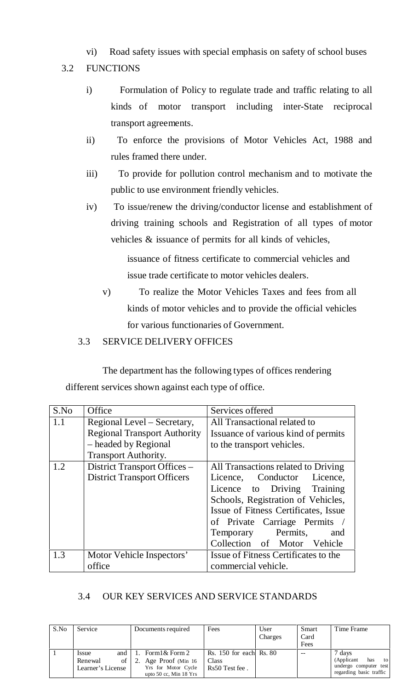- vi) Road safety issues with special emphasis on safety of school buses
- 3.2 FUNCTIONS
	- i) Formulation of Policy to regulate trade and traffic relating to all kinds of motor transport including inter-State reciprocal transport agreements.
	- ii) To enforce the provisions of Motor Vehicles Act, 1988 and rules framed there under.
	- iii) To provide for pollution control mechanism and to motivate the public to use environment friendly vehicles.
	- iv) To issue/renew the driving/conductor license and establishment of driving training schools and Registration of all types of motor vehicles & issuance of permits for all kinds of vehicles,

issuance of fitness certificate to commercial vehicles and issue trade certificate to motor vehicles dealers.

v) To realize the Motor Vehicles Taxes and fees from all kinds of motor vehicles and to provide the official vehicles for various functionaries of Government.

# 3.3 SERVICE DELIVERY OFFICES

The department has the following types of offices rendering different services shown against each type of office.

| S.No | Office                              | Services offered                     |
|------|-------------------------------------|--------------------------------------|
| 1.1  | Regional Level – Secretary,         | All Transactional related to         |
|      | <b>Regional Transport Authority</b> | Issuance of various kind of permits  |
|      | - headed by Regional                | to the transport vehicles.           |
|      | <b>Transport Authority.</b>         |                                      |
| 1.2  | District Transport Offices –        | All Transactions related to Driving  |
|      | <b>District Transport Officers</b>  | Licence, Conductor Licence,          |
|      |                                     | Licence to Driving Training          |
|      |                                     | Schools, Registration of Vehicles,   |
|      |                                     | Issue of Fitness Certificates, Issue |
|      |                                     | of Private Carriage Permits /        |
|      |                                     | Temporary Permits,<br>and            |
|      |                                     | Collection of Motor Vehicle          |
| 1.3  | Motor Vehicle Inspectors'           | Issue of Fitness Certificates to the |
|      | office                              | commercial vehicle.                  |

# 3.4 OUR KEY SERVICES AND SERVICE STANDARDS

| S.No | Service               | Documents required                          | Fees                      | User<br>Charges | Smart<br>Card<br>Fees | Time Frame               |
|------|-----------------------|---------------------------------------------|---------------------------|-----------------|-----------------------|--------------------------|
|      | and  <br><i>Issue</i> | $\pm 1.$ Form $1\&$ Form $2\pm$             | Rs. $150$ for each Rs. 80 |                 | $- -$                 | 7 days                   |
|      | $of \vert$<br>Renewal | 2. Age Proof (Min 16)                       | Class                     |                 |                       | (Applicant)<br>has<br>to |
|      | Learner's License     | Yrs for Motor Cycle                         | Rs50 Test fee.            |                 |                       | undergo computer test    |
|      |                       | upto $50 \text{ cc}$ , Min $18 \text{ Yrs}$ |                           |                 |                       | regarding basic traffic  |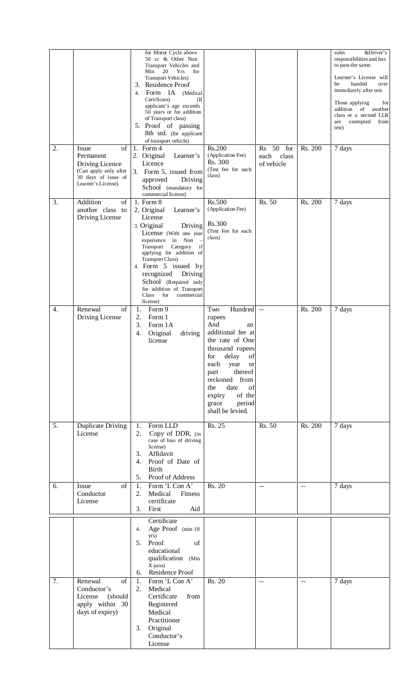|    |                                                                                                                   | for Motor Cycle above<br>50 cc & Other Non<br>Transport Vehicles and<br>20<br>Yrs<br>for<br>Min<br><b>Transport Vehicles)</b><br>Residence Proof<br>3.<br>Form IA (Medical<br>4.<br>Certificate)<br>(If<br>applicant's age exceeds<br>50 years or for addition<br>of Transport class)<br>5. Proof of passing<br>8th std. (for applicant<br>of transport vehicle) |                                                                                                                                                                                                                                                                  |                                                |                | &Driver's<br>rules<br>responsibilities and has<br>to pass the same.<br>Learner's License will<br>handed<br>be<br>over<br>immediately after test.<br>Those applying<br>for<br>addition of another<br>class or a second LLR<br>exempted<br>are<br>from<br>test) |
|----|-------------------------------------------------------------------------------------------------------------------|------------------------------------------------------------------------------------------------------------------------------------------------------------------------------------------------------------------------------------------------------------------------------------------------------------------------------------------------------------------|------------------------------------------------------------------------------------------------------------------------------------------------------------------------------------------------------------------------------------------------------------------|------------------------------------------------|----------------|---------------------------------------------------------------------------------------------------------------------------------------------------------------------------------------------------------------------------------------------------------------|
| 2. | of<br>Issue<br>Permanent<br>Driving Licence<br>(Can apply only after<br>30 days of issue of<br>Learner's License) | 1. Form $4$<br>2. Original<br>Learner's<br>Licence<br>3. Form 5, issued from<br>Driving<br>approved<br>School (mandatory for<br>commercial license)                                                                                                                                                                                                              | Rs.200<br>(Application Fee)<br>Rs. 300<br>(Test fee for each<br>class)                                                                                                                                                                                           | 50<br>for<br>Rs<br>class<br>each<br>of vehicle | Rs. 200        | 7 days                                                                                                                                                                                                                                                        |
| 3. | Addition<br>of<br>another class to<br>Driving License                                                             | 1. Form 8<br>2. Original<br>Learner's<br>License<br>3. Original<br>Driving<br>License (With one year<br>experience in Non<br>Category<br>Transport<br>if<br>applying for addition of<br><b>Transport Class)</b><br>4. Form 5 issued by<br>recognized<br>Driving<br>School (Required only<br>for addition of Transport<br>Class<br>for<br>commercial<br>license)  | Rs.500<br>(Application Fee)<br>Rs.300<br>(Test Fee for each<br>class)                                                                                                                                                                                            | Rs. 50                                         | Rs. 200        | 7 days                                                                                                                                                                                                                                                        |
| 4. | of<br>Renewal<br>Driving License                                                                                  | 1.<br>Form 9<br>2.<br>Form 1<br>3.<br>Form 1A<br>Original<br>4.<br>driving<br>license                                                                                                                                                                                                                                                                            | Hundred<br>Two<br>rupees<br>And<br>an<br>additional fee at<br>the rate of One<br>thousand rupees<br>for<br>delay<br>οt<br>each<br>year<br>or<br>thereof<br>part<br>reckoned from<br>date<br>the<br>of<br>expiry<br>of the<br>period<br>grace<br>shall be levied. | $\overline{a}$                                 | Rs. 200        | 7 days                                                                                                                                                                                                                                                        |
| 5. | Duplicate Driving<br>License                                                                                      | Form LLD<br>1.<br>Copy of DDR, (in<br>2.<br>case of loss of driving<br>license)<br>Affidavit<br>3.<br>Proof of Date of<br>4.<br><b>Birth</b><br>Proof of Address<br>5.                                                                                                                                                                                           | Rs. 25                                                                                                                                                                                                                                                           | Rs. 50                                         | Rs. 200        | 7 days                                                                                                                                                                                                                                                        |
| 6. | of<br>Issue<br>Conductor<br>License                                                                               | Form 'L Con A'<br>1.<br>Medical<br>Fitness<br>2.<br>certificate<br>First<br>Aid<br>3.                                                                                                                                                                                                                                                                            | Rs. 20                                                                                                                                                                                                                                                           | $-$                                            | $-$            | 7 days                                                                                                                                                                                                                                                        |
| 7. | Renewal<br>of<br>Conductor's<br>License<br>(should<br>apply within 30<br>days of expiry)                          | Certificate<br>Age Proof (min 18<br>4.<br>yrs)<br>Proof<br>of<br>5.<br>educational<br>qualification (Min<br>X pass)<br>Residence Proof<br>6.<br>Form 'L Con A'<br>1.<br>2.<br>Medical<br>Certificate<br>from<br>Registered<br>Medical<br>Practitioner<br>3.<br>Original<br>Conductor's<br>License                                                                | Rs. 20                                                                                                                                                                                                                                                           | $\overline{\phantom{a}}$                       | $\mathbf{u} =$ | 7 days                                                                                                                                                                                                                                                        |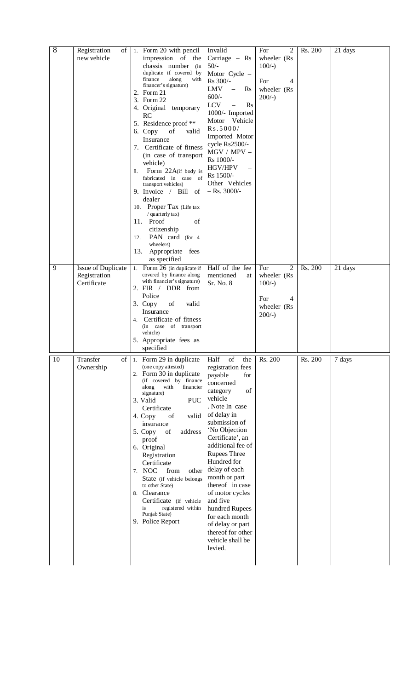| 8  | Registration<br>of<br>new vehicle                 | Form 20 with pencil<br>1.<br>impression of the<br>chassis number (in<br>duplicate if covered by<br>finance<br>along<br>with<br>financer's signature)<br>2. Form 21<br>3. Form 22<br>4. Original temporary<br>RC<br>5. Residence proof **<br>6. Copy<br>of<br>valid<br>Insurance<br>7. Certificate of fitness<br>(in case of transport<br>vehicle)<br>Form 22A(if body is<br>8.<br>fabricated in case of<br>transport vehicles)<br>9. Invoice / Bill of<br>dealer<br>10. Proper Tax (Life tax<br>/ quarterly tax)<br>11. Proof<br>of<br>citizenship<br>PAN card (for 4<br>12.<br>wheelers)<br>Appropriate<br>fees<br>13. | Invalid<br>Carriage - Rs<br>$50/-$<br>Motor Cycle -<br>Rs 300/-<br>LMV<br><b>Rs</b><br>$600/-$<br><b>LCV</b><br>$\mathbf{R}$ s<br>$\equiv$<br>1000/- Imported<br>Vehicle<br>Motor<br>$Rs.5000/-$<br>Imported Motor<br>cycle Rs2500/-<br>$MGV / MPV -$<br>Rs 1000/-<br>HGV/HPV<br>$\qquad \qquad -$<br>Rs 1500/-<br>Other Vehicles<br>$-$ Rs. 3000/-                                                                                                                                                                                                  | $\overline{2}$<br>For<br>wheeler (Rs<br>$100/-$ )<br>For<br>4<br>wheeler (Rs<br>$200/-$ ) | Rs. 200 | 21 days |
|----|---------------------------------------------------|-------------------------------------------------------------------------------------------------------------------------------------------------------------------------------------------------------------------------------------------------------------------------------------------------------------------------------------------------------------------------------------------------------------------------------------------------------------------------------------------------------------------------------------------------------------------------------------------------------------------------|------------------------------------------------------------------------------------------------------------------------------------------------------------------------------------------------------------------------------------------------------------------------------------------------------------------------------------------------------------------------------------------------------------------------------------------------------------------------------------------------------------------------------------------------------|-------------------------------------------------------------------------------------------|---------|---------|
| 9  | Issue of Duplicate<br>Registration<br>Certificate | as specified<br>Form 26 (in duplicate if<br>1.<br>covered by finance along<br>with financier's signature)<br>2. FIR / DDR from<br>Police<br>3. Copy<br>of<br>valid<br>Insurance<br>Certificate of fitness<br>4.<br>(in case of transport<br>vehicle)<br>5. Appropriate fees as<br>specified                                                                                                                                                                                                                                                                                                                             | Half of the fee<br>mentioned<br>at<br>Sr. No. 8                                                                                                                                                                                                                                                                                                                                                                                                                                                                                                      | $\overline{2}$<br>For<br>wheeler (Rs<br>$100/-$ )<br>For<br>4<br>wheeler (Rs<br>$200/-$ ) | Rs. 200 | 21 days |
| 10 | Transfer<br>of<br>Ownership                       | 1. Form 29 in duplicate<br>(one copy attested)<br>2. Form 30 in duplicate<br>(if covered by finance<br>along<br>with<br>financier<br>signature)<br>3. Valid<br><b>PUC</b><br>Certificate<br>4. Copy<br>of<br>valid<br>insurance<br>$% \left( \left( \mathcal{A},\mathcal{A}\right) \right) =\left( \mathcal{A},\mathcal{A}\right)$ of<br>address<br>5. Copy<br>proof<br>6. Original<br>Registration<br>Certificate<br>7. NOC<br>from<br>other<br>State (if vehicle belongs<br>to other State)<br>8. Clearance<br>Certificate (if vehicle<br>registered within<br>is<br>Punjab State)<br>9. Police Report                | $% \left( \left( \mathcal{A},\mathcal{A}\right) \right) =\left( \mathcal{A},\mathcal{A}\right)$ of<br>Half<br>the<br>registration fees<br>payable<br>for<br>concerned<br>of<br>category<br>vehicle<br>. Note In case<br>of delay in<br>submission of<br>'No Objection<br>Certificate', an<br>additional fee of<br><b>Rupees Three</b><br>Hundred for<br>delay of each<br>month or part<br>thereof in case<br>of motor cycles<br>and five<br>hundred Rupees<br>for each month<br>of delay or part<br>thereof for other<br>vehicle shall be<br>levied. | Rs. 200                                                                                   | Rs. 200 | 7 days  |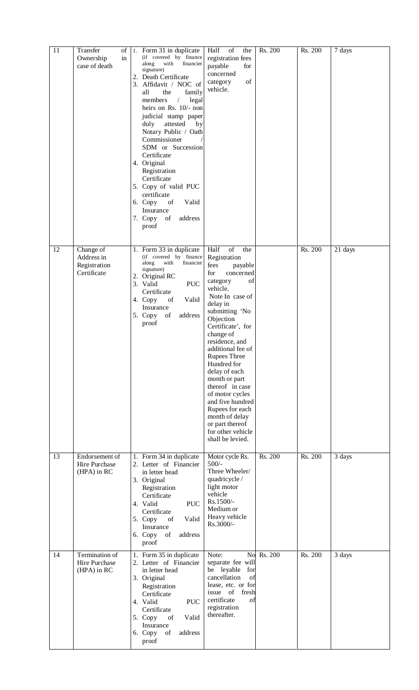| 11 | Transfer<br>of<br>Ownership<br>in<br>case of death     | Form 31 in duplicate<br>1.<br>(if covered by finance<br>along<br>with<br>financier<br>signature)<br>2. Death Certificate<br>3. Affidavit / NOC of<br>all<br>the<br>family<br>members<br>$\sqrt{2}$<br>legal<br>heirs on Rs. 10/- non<br>judicial stamp paper<br>duly<br>attested<br>by<br>Notary Public / Oath<br>Commissioner<br>SDM or Succession<br>Certificate<br>4. Original<br>Registration<br>Certificate<br>5. Copy of valid PUC<br>certificate<br>6. Copy of<br>Valid<br>Insurance<br>address<br>7. Copy of<br>proof | of<br>Half<br>the<br>registration fees<br>payable<br>for<br>concerned<br>of<br>category<br>vehicle.                                                                                                                                                                                                                                                                                                                                                                              | Rs. 200    | Rs. 200 | 7 days  |
|----|--------------------------------------------------------|-------------------------------------------------------------------------------------------------------------------------------------------------------------------------------------------------------------------------------------------------------------------------------------------------------------------------------------------------------------------------------------------------------------------------------------------------------------------------------------------------------------------------------|----------------------------------------------------------------------------------------------------------------------------------------------------------------------------------------------------------------------------------------------------------------------------------------------------------------------------------------------------------------------------------------------------------------------------------------------------------------------------------|------------|---------|---------|
| 12 | Change of<br>Address in<br>Registration<br>Certificate | 1. Form 33 in duplicate<br>(if covered by finance<br>along<br>with<br>financier<br>signature)<br>2. Original RC<br>$\operatorname{PUC}$<br>3. Valid<br>Certificate<br>4. Copy<br>Valid<br>of<br>Insurance<br>5. Copy of<br>address<br>proof                                                                                                                                                                                                                                                                                   | of<br>Half<br>the<br>Registration<br>fees<br>payable<br>for<br>concerned<br>category<br>of<br>vehicle.<br>Note In case of<br>delay in<br>submitting 'No<br>Objection<br>Certificate', for<br>change of<br>residence, and<br>additional fee of<br><b>Rupees Three</b><br>Hundred for<br>delay of each<br>month or part<br>thereof in case<br>of motor cycles<br>and five hundred<br>Rupees for each<br>month of delay<br>or part thereof<br>for other vehicle<br>shall be levied. |            | Rs. 200 | 21 days |
| 13 | Endorsement of<br>Hire Purchase<br>(HPA) in RC         | 1. Form 34 in duplicate<br>2. Letter of Financier<br>in letter head<br>3. Original<br>Registration<br>Certificate<br>4. Valid<br><b>PUC</b><br>Certificate<br>Valid<br>5. Copy<br>of<br>Insurance<br>6. Copy<br>of<br>address<br>proof                                                                                                                                                                                                                                                                                        | Motor cycle Rs.<br>$500/-$<br>Three Wheeler/<br>quadricycle /<br>light motor<br>vehicle<br>Rs.1500/-<br>Medium or<br>Heavy vehicle<br>Rs.3000/-                                                                                                                                                                                                                                                                                                                                  | Rs. 200    | Rs. 200 | 3 days  |
| 14 | Termination of<br>Hire Purchase<br>(HPA) in RC         | 1. Form 35 in duplicate<br>2. Letter of Financier<br>in letter head<br>3. Original<br>Registration<br>Certificate<br>4. Valid<br><b>PUC</b><br>Certificate<br>Valid<br>5. Copy<br>of<br>Insurance<br>6. Copy<br>of<br>address<br>proof                                                                                                                                                                                                                                                                                        | Note:<br>separate fee will<br>be leyable<br>for<br>cancellation<br>of<br>lease, etc. or for<br>issue of fresh<br>certificate<br>οf<br>registration<br>thereafter.                                                                                                                                                                                                                                                                                                                | No Rs. 200 | Rs. 200 | 3 days  |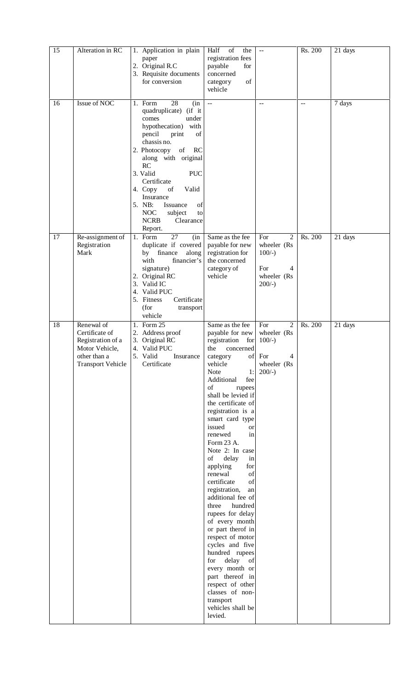| 15 | Alteration in RC                                                                                                | 1. Application in plain<br>paper<br>2. Original R.C<br>3. Requisite documents<br>for conversion                                                                                                                                                                                                                                                                                     | of<br>Half<br>the<br>registration fees<br>payable<br>for<br>concerned<br>of<br>category<br>vehicle                                                                                                                                                                                                                                                                                                                                                                                                                                                                                                                                                                                                                             | $\mathbb{L}^{\mathbb{L}}$                                                                              | Rs. 200      | 21 days |
|----|-----------------------------------------------------------------------------------------------------------------|-------------------------------------------------------------------------------------------------------------------------------------------------------------------------------------------------------------------------------------------------------------------------------------------------------------------------------------------------------------------------------------|--------------------------------------------------------------------------------------------------------------------------------------------------------------------------------------------------------------------------------------------------------------------------------------------------------------------------------------------------------------------------------------------------------------------------------------------------------------------------------------------------------------------------------------------------------------------------------------------------------------------------------------------------------------------------------------------------------------------------------|--------------------------------------------------------------------------------------------------------|--------------|---------|
| 16 | Issue of NOC                                                                                                    | 28<br>1. Form<br>(in<br>quadruplicate) (if it<br>under<br>comes<br>hypothecation)<br>with<br>pencil<br>print<br>of<br>chassis no.<br>2. Photocopy<br>of<br><b>RC</b><br>along with original<br>RC<br>3. Valid<br><b>PUC</b><br>Certificate<br>4. Copy<br>Valid<br>of<br>Insurance<br>5. NB:<br>Issuance<br>of<br><b>NOC</b><br>subject<br>to<br><b>NCRB</b><br>Clearance<br>Report. | $\overline{a}$                                                                                                                                                                                                                                                                                                                                                                                                                                                                                                                                                                                                                                                                                                                 | $-$                                                                                                    | $\mathbf{u}$ | 7 days  |
| 17 | Re-assignment of<br>Registration<br>Mark                                                                        | 27<br>1. Form<br>(in<br>duplicate if covered<br>by finance<br>along<br>with<br>financier's<br>signature)<br>2. Original RC<br>3. Valid IC<br>4. Valid PUC<br>5. Fitness<br>Certificate<br>(for<br>transport<br>vehicle                                                                                                                                                              | Same as the fee<br>payable for new<br>registration for<br>the concerned<br>category of<br>vehicle                                                                                                                                                                                                                                                                                                                                                                                                                                                                                                                                                                                                                              | $\overline{2}$<br>For<br>wheeler (Rs<br>$100/-$ )<br>For<br>$\overline{4}$<br>wheeler (Rs<br>$200/-$ ) | Rs. 200      | 21 days |
| 18 | Renewal of<br>Certificate of<br>Registration of a<br>Motor Vehicle,<br>other than a<br><b>Transport Vehicle</b> | 1. Form 25<br>2. Address proof<br>3. Original RC<br>4. Valid PUC<br>5. Valid<br>Insurance<br>Certificate                                                                                                                                                                                                                                                                            | Same as the fee<br>payable for new<br>registration<br>for<br>concerned<br>the<br>category<br>vehicle<br>Note<br>1:<br>Additional<br>fee<br>of<br>rupees<br>shall be levied if<br>the certificate of<br>registration is a<br>smart card type<br>issued<br>or<br>renewed<br>in<br>Form 23 A.<br>Note 2: In case<br>of<br>delay<br>in<br>applying<br>for<br>renewal<br>of<br>certificate<br>of<br>registration,<br>an<br>additional fee of<br>hundred<br>three<br>rupees for delay<br>of every month<br>or part therof in<br>respect of motor<br>cycles and five<br>hundred rupees<br>delay<br>for<br>of<br>every month or<br>part thereof in<br>respect of other<br>classes of non-<br>transport<br>vehicles shall be<br>levied. | For<br>2<br>wheeler (Rs<br>$100/-$ )<br>of For<br>$\overline{4}$<br>wheeler (Rs<br>$200/-$ )           | Rs. 200      | 21 days |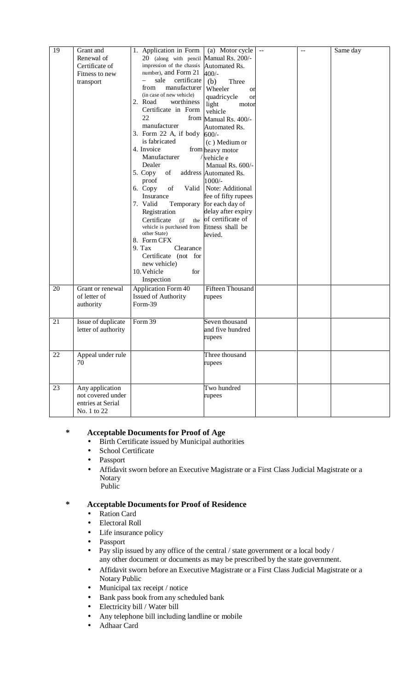| 19 | Grant and<br>Renewal of<br>Certificate of<br>Fitness to new<br>transport | 1. Application in Form<br>20 (along with pencil Manual Rs. 200/-<br>impression of the chassis<br>number), and Form 21<br>sale<br>certificate<br>manufacturer<br>from<br>(in case of new vehicle)<br>2. Road<br>worthiness<br>Certificate in Form<br>22<br>manufacturer<br>3. Form 22 A, if body<br>is fabricated<br>4. Invoice<br>Manufacturer<br>Dealer<br>of<br>5. Copy<br>proof<br>6. Copy<br>Valid<br>of<br>Insurance<br>7. Valid<br>Temporary<br>Registration<br>Certificate<br>(if)<br>the<br>vehicle is purchased from<br>other State)<br>8. Form CFX<br>9. Tax<br>Clearance<br>Certificate (not for<br>new vehicle)<br>10. Vehicle<br>for<br>Inspection | (a) Motor cycle<br>Automated Rs.<br>$400/-$<br>(b)<br>Three<br>Wheeler<br>or<br>quadricycle<br>or<br>light<br>motor<br>vehicle<br>from Manual Rs. 400/-<br>Automated Rs.<br>$600/-$<br>(c) Medium or<br>from heavy motor<br>$/$ <sub>vehicle e</sub><br>Manual Rs. 600/-<br>address Automated Rs.<br>$1000/-$<br>Note: Additional<br>fee of fifty rupees<br>for each day of<br>delay after expiry<br>of certificate of<br>fitness shall be<br>levied. |  | Same day |
|----|--------------------------------------------------------------------------|-----------------------------------------------------------------------------------------------------------------------------------------------------------------------------------------------------------------------------------------------------------------------------------------------------------------------------------------------------------------------------------------------------------------------------------------------------------------------------------------------------------------------------------------------------------------------------------------------------------------------------------------------------------------|-------------------------------------------------------------------------------------------------------------------------------------------------------------------------------------------------------------------------------------------------------------------------------------------------------------------------------------------------------------------------------------------------------------------------------------------------------|--|----------|
| 20 | Grant or renewal                                                         | Application Form 40                                                                                                                                                                                                                                                                                                                                                                                                                                                                                                                                                                                                                                             | Fifteen Thousand                                                                                                                                                                                                                                                                                                                                                                                                                                      |  |          |
|    | of letter of<br>authority                                                | <b>Issued of Authority</b><br>Form-39                                                                                                                                                                                                                                                                                                                                                                                                                                                                                                                                                                                                                           | rupees                                                                                                                                                                                                                                                                                                                                                                                                                                                |  |          |
| 21 | Issue of duplicate<br>letter of authority                                | Form 39                                                                                                                                                                                                                                                                                                                                                                                                                                                                                                                                                                                                                                                         | Seven thousand<br>and five hundred<br>rupees                                                                                                                                                                                                                                                                                                                                                                                                          |  |          |
| 22 | Appeal under rule<br>70                                                  |                                                                                                                                                                                                                                                                                                                                                                                                                                                                                                                                                                                                                                                                 | Three thousand<br>rupees                                                                                                                                                                                                                                                                                                                                                                                                                              |  |          |
| 23 | Any application<br>not covered under<br>entries at Serial<br>No. 1 to 22 |                                                                                                                                                                                                                                                                                                                                                                                                                                                                                                                                                                                                                                                                 | Two hundred<br>rupees                                                                                                                                                                                                                                                                                                                                                                                                                                 |  |          |

#### **\* Acceptable Documents for Proof of Age**

- Birth Certificate issued by Municipal authorities
- School Certificate
- Passport
- Affidavit sworn before an Executive Magistrate or a First Class Judicial Magistrate or a Notary Public

#### **\* Acceptable Documents for Proof of Residence**

- Ration Card
- Electoral Roll
- Life insurance policy
- Passport
- Pay slip issued by any office of the central / state government or a local body / any other document or documents as may be prescribed by the state government.
- Affidavit sworn before an Executive Magistrate or a First Class Judicial Magistrate or a Notary Public
- Municipal tax receipt / notice
- Bank pass book from any scheduled bank
- Electricity bill / Water bill
- Any telephone bill including landline or mobile
- Adhaar Card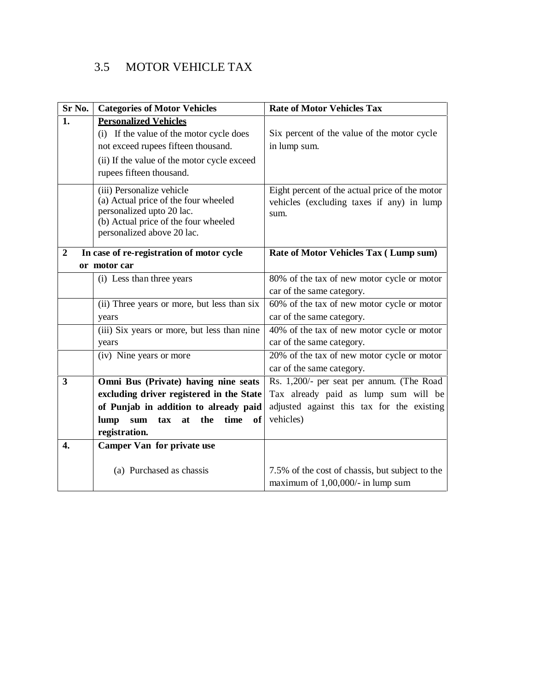# 3.5 MOTOR VEHICLE TAX

| Sr No.           | <b>Categories of Motor Vehicles</b>                                                                                                                                  | <b>Rate of Motor Vehicles Tax</b>                                                                   |
|------------------|----------------------------------------------------------------------------------------------------------------------------------------------------------------------|-----------------------------------------------------------------------------------------------------|
| 1.               | <b>Personalized Vehicles</b>                                                                                                                                         |                                                                                                     |
|                  | (i) If the value of the motor cycle does                                                                                                                             | Six percent of the value of the motor cycle                                                         |
|                  | not exceed rupees fifteen thousand.                                                                                                                                  | in lump sum.                                                                                        |
|                  | (ii) If the value of the motor cycle exceed<br>rupees fifteen thousand.                                                                                              |                                                                                                     |
|                  | (iii) Personalize vehicle<br>(a) Actual price of the four wheeled<br>personalized upto 20 lac.<br>(b) Actual price of the four wheeled<br>personalized above 20 lac. | Eight percent of the actual price of the motor<br>vehicles (excluding taxes if any) in lump<br>sum. |
| 2                | In case of re-registration of motor cycle<br>or motor car                                                                                                            | Rate of Motor Vehicles Tax (Lump sum)                                                               |
|                  | (i) Less than three years                                                                                                                                            | 80% of the tax of new motor cycle or motor                                                          |
|                  |                                                                                                                                                                      | car of the same category.                                                                           |
|                  | (ii) Three years or more, but less than six                                                                                                                          | 60% of the tax of new motor cycle or motor                                                          |
|                  | years                                                                                                                                                                | car of the same category.                                                                           |
|                  | (iii) Six years or more, but less than nine<br>years                                                                                                                 | 40% of the tax of new motor cycle or motor<br>car of the same category.                             |
|                  | (iv) Nine years or more                                                                                                                                              | 20% of the tax of new motor cycle or motor                                                          |
|                  |                                                                                                                                                                      | car of the same category.                                                                           |
| 3                | Omni Bus (Private) having nine seats                                                                                                                                 | Rs. 1,200/- per seat per annum. (The Road                                                           |
|                  | excluding driver registered in the State                                                                                                                             | Tax already paid as lump sum will be                                                                |
|                  | of Punjab in addition to already paid                                                                                                                                | adjusted against this tax for the existing                                                          |
|                  | lump<br>sum<br>at<br>the<br>time<br>tax<br>of<br>registration.                                                                                                       | vehicles)                                                                                           |
|                  |                                                                                                                                                                      |                                                                                                     |
| $\overline{4}$ . | <b>Camper Van for private use</b>                                                                                                                                    |                                                                                                     |
|                  | (a) Purchased as chassis                                                                                                                                             | 7.5% of the cost of chassis, but subject to the<br>maximum of $1,00,000/$ - in lump sum             |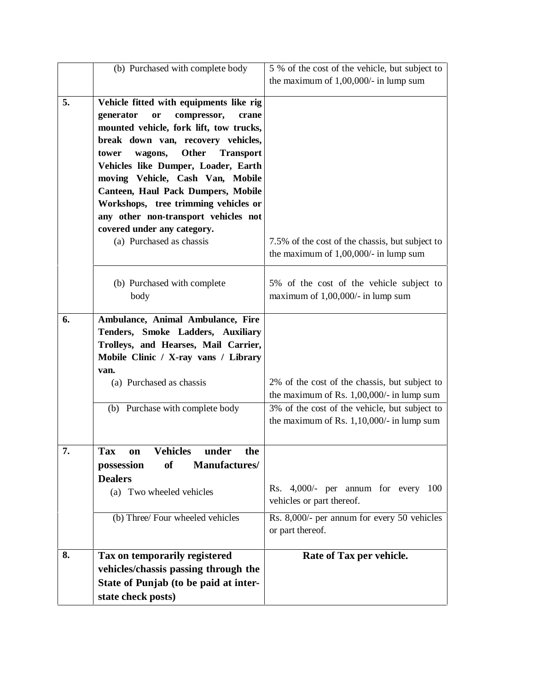|    | (b) Purchased with complete body              | 5 % of the cost of the vehicle, but subject to  |  |  |
|----|-----------------------------------------------|-------------------------------------------------|--|--|
|    |                                               | the maximum of $1,00,000/$ - in lump sum        |  |  |
| 5. | Vehicle fitted with equipments like rig       |                                                 |  |  |
|    |                                               |                                                 |  |  |
|    | generator<br>compressor,<br>or<br>crane       |                                                 |  |  |
|    | mounted vehicle, fork lift, tow trucks,       |                                                 |  |  |
|    | break down van, recovery vehicles,            |                                                 |  |  |
|    | Other<br>wagons,<br>tower<br><b>Transport</b> |                                                 |  |  |
|    | Vehicles like Dumper, Loader, Earth           |                                                 |  |  |
|    | moving Vehicle, Cash Van, Mobile              |                                                 |  |  |
|    | <b>Canteen, Haul Pack Dumpers, Mobile</b>     |                                                 |  |  |
|    | Workshops, tree trimming vehicles or          |                                                 |  |  |
|    | any other non-transport vehicles not          |                                                 |  |  |
|    | covered under any category.                   |                                                 |  |  |
|    | (a) Purchased as chassis                      | 7.5% of the cost of the chassis, but subject to |  |  |
|    |                                               | the maximum of $1,00,000/$ - in lump sum        |  |  |
|    |                                               |                                                 |  |  |
|    | (b) Purchased with complete                   | 5% of the cost of the vehicle subject to        |  |  |
|    | body                                          | maximum of $1,00,000/$ - in lump sum            |  |  |
|    |                                               |                                                 |  |  |
| 6. | Ambulance, Animal Ambulance, Fire             |                                                 |  |  |
|    | Tenders, Smoke Ladders, Auxiliary             |                                                 |  |  |
|    | Trolleys, and Hearses, Mail Carrier,          |                                                 |  |  |
|    | Mobile Clinic / X-ray vans / Library          |                                                 |  |  |
|    | van.                                          |                                                 |  |  |
|    | (a) Purchased as chassis                      | 2% of the cost of the chassis, but subject to   |  |  |
|    |                                               | the maximum of Rs. $1,00,000/$ - in lump sum    |  |  |
|    | (b) Purchase with complete body               | 3% of the cost of the vehicle, but subject to   |  |  |
|    |                                               | the maximum of Rs. $1,10,000/$ - in lump sum    |  |  |
|    |                                               |                                                 |  |  |
| 7. | <b>Tax</b><br>Vehicles under<br>the<br>on     |                                                 |  |  |
|    | Manufactures/<br>possession<br><b>of</b>      |                                                 |  |  |
|    | <b>Dealers</b>                                |                                                 |  |  |
|    | (a) Two wheeled vehicles                      | Rs. $4,000/-$ per annum for every 100           |  |  |
|    |                                               | vehicles or part thereof.                       |  |  |
|    | (b) Three/ Four wheeled vehicles              | Rs. 8,000/- per annum for every 50 vehicles     |  |  |
|    |                                               | or part thereof.                                |  |  |
|    |                                               |                                                 |  |  |
| 8. | Tax on temporarily registered                 | Rate of Tax per vehicle.                        |  |  |
|    | vehicles/chassis passing through the          |                                                 |  |  |
|    | State of Punjab (to be paid at inter-         |                                                 |  |  |
|    | state check posts)                            |                                                 |  |  |
|    |                                               |                                                 |  |  |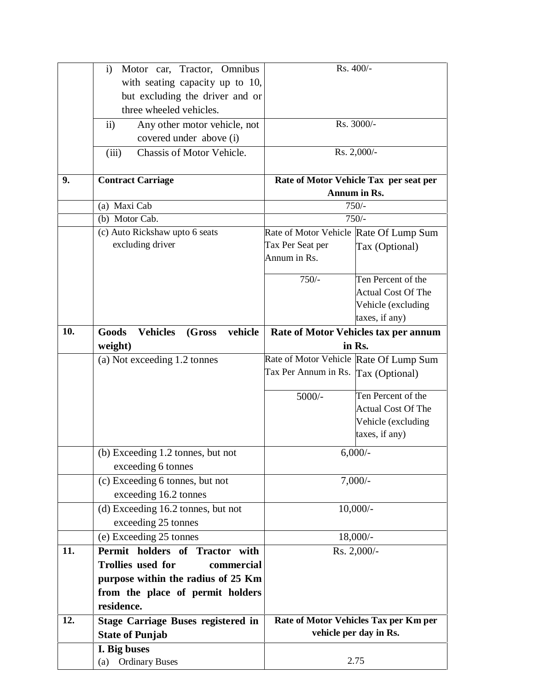|     | Motor car, Tractor, Omnibus<br>$\mathbf{i}$     |                                        | Rs. 400/-                              |
|-----|-------------------------------------------------|----------------------------------------|----------------------------------------|
|     | with seating capacity up to 10,                 |                                        |                                        |
|     | but excluding the driver and or                 |                                        |                                        |
|     | three wheeled vehicles.                         |                                        |                                        |
|     | $\overline{11}$<br>Any other motor vehicle, not |                                        | Rs. 3000/-                             |
|     | covered under above (i)                         |                                        |                                        |
|     | Chassis of Motor Vehicle.<br>(iii)              |                                        | Rs. 2,000/-                            |
| 9.  | <b>Contract Carriage</b>                        |                                        | Rate of Motor Vehicle Tax per seat per |
|     |                                                 |                                        | Annum in Rs.                           |
|     | (a) Maxi Cab                                    |                                        | $750/-$                                |
|     | (b) Motor Cab.                                  |                                        | $750/-$                                |
|     | (c) Auto Rickshaw upto 6 seats                  | Rate of Motor Vehicle Rate Of Lump Sum |                                        |
|     | excluding driver                                | Tax Per Seat per                       | Tax (Optional)                         |
|     |                                                 | Annum in Rs.                           |                                        |
|     |                                                 | $750/-$                                | Ten Percent of the                     |
|     |                                                 |                                        | <b>Actual Cost Of The</b>              |
|     |                                                 |                                        | Vehicle (excluding                     |
|     |                                                 |                                        | taxes, if any)                         |
| 10. | Goods<br>vehicle<br><b>Vehicles</b><br>(Gross   |                                        | Rate of Motor Vehicles tax per annum   |
|     | weight)                                         |                                        | in Rs.                                 |
|     | (a) Not exceeding 1.2 tonnes                    | Rate of Motor Vehicle Rate Of Lump Sum |                                        |
|     |                                                 | Tax Per Annum in Rs.                   | Tax (Optional)                         |
|     |                                                 | $5000/-$                               | Ten Percent of the                     |
|     |                                                 |                                        | <b>Actual Cost Of The</b>              |
|     |                                                 |                                        | Vehicle (excluding                     |
|     |                                                 |                                        | taxes, if any)                         |
|     | (b) Exceeding 1.2 tonnes, but not               |                                        | $6,000/$ -                             |
|     | exceeding 6 tonnes                              |                                        |                                        |
|     | (c) Exceeding 6 tonnes, but not                 |                                        | $7,000/-$                              |
|     | exceeding 16.2 tonnes                           |                                        |                                        |
|     | (d) Exceeding 16.2 tonnes, but not              |                                        | $10,000/-$                             |
|     | exceeding 25 tonnes                             |                                        |                                        |
|     | (e) Exceeding 25 tonnes                         |                                        | $18,000/-$                             |
| 11. | Permit holders of Tractor with                  |                                        | Rs. 2,000/-                            |
|     | <b>Trollies used for</b><br>commercial          |                                        |                                        |
|     | purpose within the radius of 25 Km              |                                        |                                        |
|     | from the place of permit holders                |                                        |                                        |
|     | residence.                                      |                                        |                                        |
| 12. | <b>Stage Carriage Buses registered in</b>       |                                        | Rate of Motor Vehicles Tax per Km per  |
|     | <b>State of Punjab</b>                          |                                        | vehicle per day in Rs.                 |
|     | I. Big buses                                    |                                        |                                        |
|     | <b>Ordinary Buses</b><br>(a)                    |                                        | 2.75                                   |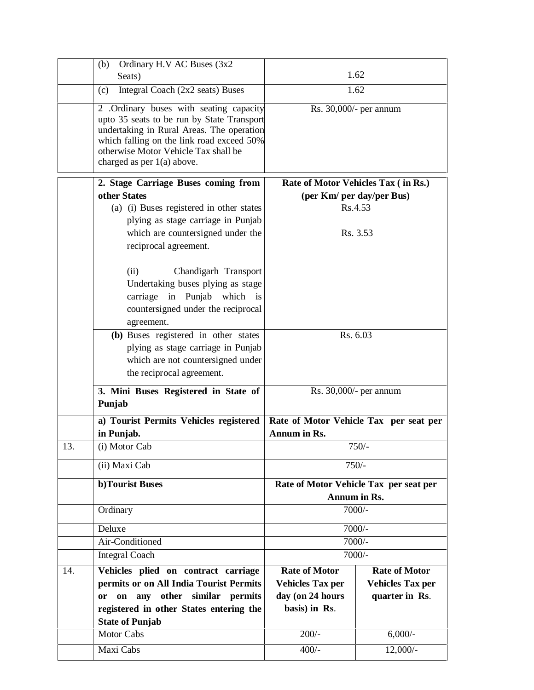|     | Ordinary H.V AC Buses (3x2<br>(b)                                                                                                                                                                                                                       |                         |                                        |  |
|-----|---------------------------------------------------------------------------------------------------------------------------------------------------------------------------------------------------------------------------------------------------------|-------------------------|----------------------------------------|--|
|     | Seats)                                                                                                                                                                                                                                                  |                         | 1.62                                   |  |
|     | Integral Coach (2x2 seats) Buses<br>(c)                                                                                                                                                                                                                 |                         | 1.62                                   |  |
|     | 2 .Ordinary buses with seating capacity<br>upto 35 seats to be run by State Transport<br>undertaking in Rural Areas. The operation<br>which falling on the link road exceed 50%<br>otherwise Motor Vehicle Tax shall be<br>charged as per $1(a)$ above. |                         | Rs. 30,000/- per annum                 |  |
|     | 2. Stage Carriage Buses coming from                                                                                                                                                                                                                     |                         | Rate of Motor Vehicles Tax (in Rs.)    |  |
|     | other States                                                                                                                                                                                                                                            |                         | (per Km/ per day/per Bus)              |  |
|     | (a) (i) Buses registered in other states                                                                                                                                                                                                                |                         | Rs.4.53                                |  |
|     | plying as stage carriage in Punjab                                                                                                                                                                                                                      |                         |                                        |  |
|     | which are countersigned under the                                                                                                                                                                                                                       |                         | Rs. 3.53                               |  |
|     | reciprocal agreement.                                                                                                                                                                                                                                   |                         |                                        |  |
|     |                                                                                                                                                                                                                                                         |                         |                                        |  |
|     | (ii)<br>Chandigarh Transport                                                                                                                                                                                                                            |                         |                                        |  |
|     | Undertaking buses plying as stage                                                                                                                                                                                                                       |                         |                                        |  |
|     | carriage in Punjab which is                                                                                                                                                                                                                             |                         |                                        |  |
|     | countersigned under the reciprocal                                                                                                                                                                                                                      |                         |                                        |  |
|     | agreement.                                                                                                                                                                                                                                              |                         |                                        |  |
|     | (b) Buses registered in other states                                                                                                                                                                                                                    | Rs. 6.03                |                                        |  |
|     | plying as stage carriage in Punjab                                                                                                                                                                                                                      |                         |                                        |  |
|     | which are not countersigned under                                                                                                                                                                                                                       |                         |                                        |  |
|     | the reciprocal agreement.                                                                                                                                                                                                                               |                         |                                        |  |
|     | 3. Mini Buses Registered in State of                                                                                                                                                                                                                    |                         | Rs. 30,000/- per annum                 |  |
|     | Punjab                                                                                                                                                                                                                                                  |                         |                                        |  |
|     | a) Tourist Permits Vehicles registered                                                                                                                                                                                                                  |                         | Rate of Motor Vehicle Tax per seat per |  |
|     | in Punjab.                                                                                                                                                                                                                                              | <b>Annum in Rs.</b>     |                                        |  |
| 13. | (i) Motor Cab                                                                                                                                                                                                                                           |                         | $750/-$                                |  |
|     | (ii) Maxi Cab                                                                                                                                                                                                                                           |                         | $750/-$                                |  |
|     | <b>b)Tourist Buses</b>                                                                                                                                                                                                                                  |                         | Rate of Motor Vehicle Tax per seat per |  |
|     |                                                                                                                                                                                                                                                         |                         | Annum in Rs.                           |  |
|     | Ordinary                                                                                                                                                                                                                                                |                         | 7000/-                                 |  |
|     | Deluxe                                                                                                                                                                                                                                                  |                         | 7000/-                                 |  |
|     | Air-Conditioned                                                                                                                                                                                                                                         |                         | $7000/-$                               |  |
|     | <b>Integral Coach</b>                                                                                                                                                                                                                                   |                         | $7000/-$                               |  |
| 14. | Vehicles plied on contract carriage                                                                                                                                                                                                                     | <b>Rate of Motor</b>    | <b>Rate of Motor</b>                   |  |
|     | permits or on All India Tourist Permits                                                                                                                                                                                                                 | <b>Vehicles Tax per</b> | <b>Vehicles Tax per</b>                |  |
|     | on any other similar permits<br><sub>or</sub>                                                                                                                                                                                                           | day (on 24 hours        | quarter in Rs.                         |  |
|     |                                                                                                                                                                                                                                                         |                         |                                        |  |
|     | registered in other States entering the                                                                                                                                                                                                                 | basis) in Rs.           |                                        |  |
|     | <b>State of Punjab</b>                                                                                                                                                                                                                                  |                         |                                        |  |
|     | Motor Cabs<br>Maxi Cabs                                                                                                                                                                                                                                 | $200/-$<br>$400/-$      | $6,000/-$<br>$12,000/-$                |  |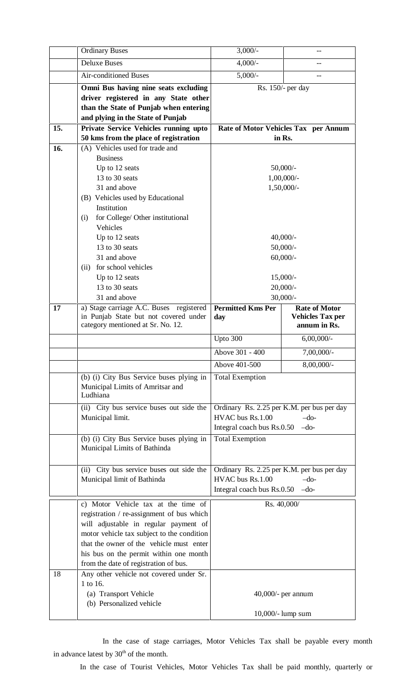|     | <b>Ordinary Buses</b>                       | $3,000/-$                                  | $\qquad \qquad -$                    |  |
|-----|---------------------------------------------|--------------------------------------------|--------------------------------------|--|
|     | <b>Deluxe Buses</b>                         | $4,000/-$                                  | $-$                                  |  |
|     | Air-conditioned Buses                       | $5,000/-$<br>$-$                           |                                      |  |
|     | Omni Bus having nine seats excluding        |                                            | Rs. $150/-$ per day                  |  |
|     | driver registered in any State other        |                                            |                                      |  |
|     | than the State of Punjab when entering      |                                            |                                      |  |
|     | and plying in the State of Punjab           |                                            |                                      |  |
| 15. | Private Service Vehicles running upto       |                                            | Rate of Motor Vehicles Tax per Annum |  |
|     | 50 kms from the place of registration       |                                            | in Rs.                               |  |
| 16. | (A) Vehicles used for trade and             |                                            |                                      |  |
|     | <b>Business</b>                             |                                            |                                      |  |
|     | Up to 12 seats                              |                                            | $50,000/-$                           |  |
|     | 13 to 30 seats                              |                                            | $1,00,000/$ -                        |  |
|     | 31 and above                                |                                            | $1,50,000/-$                         |  |
|     | (B) Vehicles used by Educational            |                                            |                                      |  |
|     | Institution                                 |                                            |                                      |  |
|     | for College/ Other institutional<br>(i)     |                                            |                                      |  |
|     | Vehicles                                    |                                            |                                      |  |
|     | Up to 12 seats                              |                                            | $40,000/-$                           |  |
|     | 13 to 30 seats<br>31 and above              |                                            | $50,000/$ -<br>$60,000/-$            |  |
|     | for school vehicles<br>(ii)                 |                                            |                                      |  |
|     | Up to 12 seats                              |                                            | $15,000/-$                           |  |
|     | 13 to 30 seats                              |                                            | $20,000/$ -                          |  |
|     | 31 and above                                |                                            | $30,000/$ -                          |  |
| 17  | a) Stage carriage A.C. Buses registered     | <b>Permitted Kms Per</b>                   | <b>Rate of Motor</b>                 |  |
|     | in Punjab State but not covered under       | day                                        | <b>Vehicles Tax per</b>              |  |
|     | category mentioned at Sr. No. 12.           |                                            | annum in Rs.                         |  |
|     |                                             | Upto 300                                   | $6,00,000/$ -                        |  |
|     |                                             | Above 301 - 400                            | 7,00,000/-                           |  |
|     |                                             | Above 401-500                              | 8,00,000/-                           |  |
|     | (b) (i) City Bus Service buses plying in    | <b>Total Exemption</b>                     |                                      |  |
|     | Municipal Limits of Amritsar and            |                                            |                                      |  |
|     | Ludhiana                                    |                                            |                                      |  |
|     | (ii) City bus service buses out side the    | Ordinary Rs. 2.25 per K.M. per bus per day |                                      |  |
|     | Municipal limit.                            | HVAC bus Rs.1.00                           | $-do-$                               |  |
|     |                                             | Integral coach bus Rs.0.50                 | $-do-$                               |  |
|     | (b) (i) City Bus Service buses plying in    | <b>Total Exemption</b>                     |                                      |  |
|     | Municipal Limits of Bathinda                |                                            |                                      |  |
|     |                                             |                                            |                                      |  |
|     | City bus service buses out side the<br>(ii) | Ordinary Rs. 2.25 per K.M. per bus per day |                                      |  |
|     | Municipal limit of Bathinda                 | HVAC bus Rs.1.00                           | $-do-$                               |  |
|     |                                             | Integral coach bus Rs.0.50                 | $-do-$                               |  |
|     | c) Motor Vehicle tax at the time of         |                                            | Rs. 40,000/                          |  |
|     | registration / re-assignment of bus which   |                                            |                                      |  |
|     | will adjustable in regular payment of       |                                            |                                      |  |
|     | motor vehicle tax subject to the condition  |                                            |                                      |  |
|     | that the owner of the vehicle must enter    |                                            |                                      |  |
|     | his bus on the permit within one month      |                                            |                                      |  |
|     | from the date of registration of bus.       |                                            |                                      |  |
| 18  | Any other vehicle not covered under Sr.     |                                            |                                      |  |
|     | 1 to 16.                                    |                                            |                                      |  |
|     | (a) Transport Vehicle                       |                                            | $40,000/$ - per annum                |  |
|     | (b) Personalized vehicle                    |                                            |                                      |  |
|     |                                             |                                            | 10,000/- lump sum                    |  |

In the case of stage carriages, Motor Vehicles Tax shall be payable every month in advance latest by  $30<sup>th</sup>$  of the month.

In the case of Tourist Vehicles, Motor Vehicles Tax shall be paid monthly, quarterly or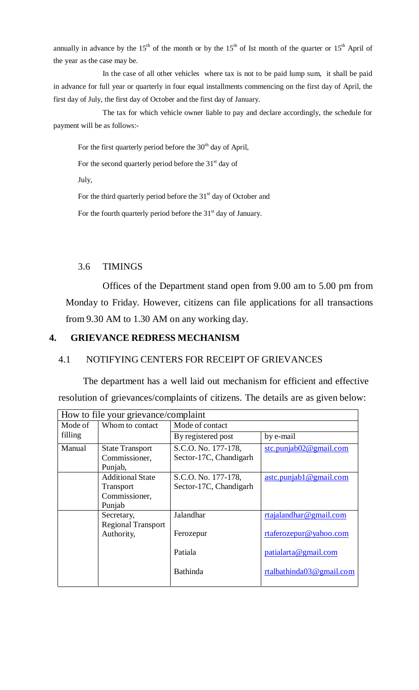annually in advance by the  $15<sup>th</sup>$  of the month or by the  $15<sup>th</sup>$  of Ist month of the quarter or  $15<sup>th</sup>$  April of the year as the case may be.

In the case of all other vehicles where tax is not to be paid lump sum, it shall be paid in advance for full year or quarterly in four equal installments commencing on the first day of April, the first day of July, the first day of October and the first day of January.

The tax for which vehicle owner liable to pay and declare accordingly, the schedule for payment will be as follows:-

For the first quarterly period before the  $30<sup>th</sup>$  day of April,

For the second quarterly period before the  $31<sup>st</sup>$  day of

July,

For the third quarterly period before the  $31<sup>st</sup>$  day of October and

For the fourth quarterly period before the  $31<sup>st</sup>$  day of January.

## 3.6 TIMINGS

Offices of the Department stand open from 9.00 am to 5.00 pm from Monday to Friday. However, citizens can file applications for all transactions from 9.30 AM to 1.30 AM on any working day.

## **4. GRIEVANCE REDRESS MECHANISM**

## 4.1 NOTIFYING CENTERS FOR RECEIPT OF GRIEVANCES

The department has a well laid out mechanism for efficient and effective resolution of grievances/complaints of citizens. The details are as given below:

|         | How to file your grievance/complaint                                   |                                               |                                       |  |
|---------|------------------------------------------------------------------------|-----------------------------------------------|---------------------------------------|--|
| Mode of | Whom to contact                                                        | Mode of contact                               |                                       |  |
| filling |                                                                        | By registered post                            | by e-mail                             |  |
| Manual  | <b>State Transport</b><br>Commissioner,<br>Punjab,                     | S.C.O. No. 177-178,<br>Sector-17C, Chandigarh | stc.punjab02@gmail.com                |  |
|         | <b>Additional State</b><br><b>Transport</b><br>Commissioner,<br>Punjab | S.C.O. No. 177-178,<br>Sector-17C, Chandigarh | $\arctan{\frac{\pi x}{1}}$ @gmail.com |  |
|         | Secretary,<br><b>Regional Transport</b>                                | Jalandhar                                     | rtajalandhar@gmail.com                |  |
|         | Authority,                                                             | Ferozepur                                     | rtaferozepur@yahoo.com                |  |
|         |                                                                        | Patiala                                       | patialarta@gmail.com                  |  |
|         |                                                                        | <b>Bathinda</b>                               | rtalbathinda $03@$ gmail.com          |  |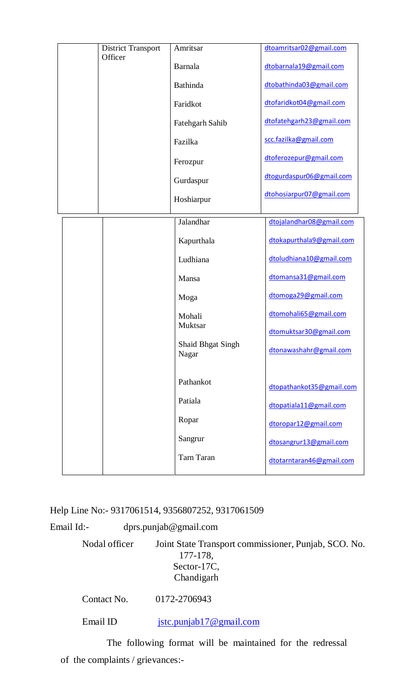| <b>District Transport</b><br>Officer | Amritsar                          | dtoamritsar02@gmail.com  |
|--------------------------------------|-----------------------------------|--------------------------|
|                                      | <b>Barnala</b>                    | dtobarnala19@gmail.com   |
|                                      | Bathinda                          | dtobathinda03@gmail.com  |
|                                      | Faridkot                          | dtofaridkot04@gmail.com  |
|                                      | Fatehgarh Sahib                   | dtofatehgarh23@gmail.com |
|                                      | Fazilka                           | scc.fazilka@gmail.com    |
|                                      | Ferozpur                          | dtoferozepur@gmail.com   |
|                                      | Gurdaspur                         | dtogurdaspur06@gmail.com |
|                                      | Hoshiarpur                        | dtohosiarpur07@gmail.com |
|                                      | Jalandhar                         | dtojalandhar08@gmail.com |
|                                      | Kapurthala                        | dtokapurthala9@gmail.com |
|                                      | Ludhiana                          | dtoludhiana10@gmail.com  |
|                                      | Mansa                             | dtomansa31@gmail.com     |
|                                      | Moga                              | dtomoga29@gmail.com      |
|                                      | Mohali                            | dtomohali65@gmail.com    |
|                                      | Muktsar                           | dtomuktsar30@gmail.com   |
|                                      | <b>Shaid Bhgat Singh</b><br>Nagar | dtonawashahr@gmail.com   |
|                                      |                                   |                          |
|                                      | Pathankot                         | dtopathankot35@gmail.com |
|                                      | Patiala                           | dtopatiala11@gmail.com   |
|                                      | Ropar                             | dtoropar12@gmail.com     |
|                                      | Sangrur                           | dtosangrur13@gmail.com   |
|                                      | Tarn Taran                        | dtotarntaran46@gmail.com |
|                                      |                                   |                          |

Help Line No:- 9317061514, 9356807252, 9317061509

Email Id:- dprs.punjab@gmail.com

Nodal officer Joint State Transport commissioner, Punjab, SCO. No. 177-178, Sector-17C, Chandigarh

Contact No. 0172-2706943

Email ID jstc.punjab17@gmail.com

The following format will be maintained for the redressal of the complaints / grievances:-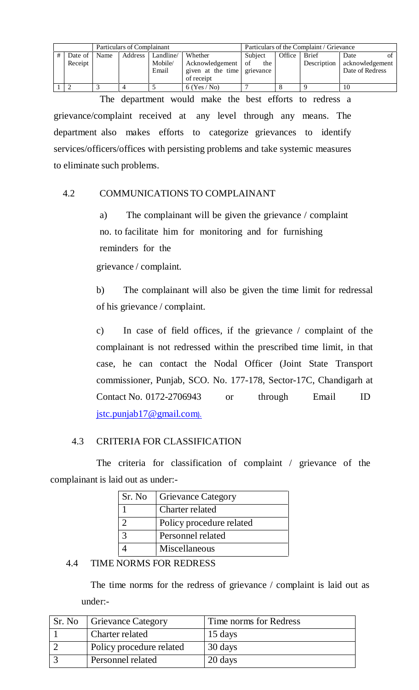|           |      | Particulars of Complainant |                  |                                                              |           |        | Particulars of the Complaint / Grievance |                                    |
|-----------|------|----------------------------|------------------|--------------------------------------------------------------|-----------|--------|------------------------------------------|------------------------------------|
| Date of 1 | Name | Address                    | Landline/        | Whether                                                      | Subject   | Office | <b>Brief</b>                             | Date                               |
| Receipt   |      |                            | Mobile/<br>Email | Acknowledgement<br>given at the time grievance<br>of receipt | of<br>the |        | Description                              | acknowledgement<br>Date of Redress |
|           |      |                            |                  | $6$ (Yes / No)                                               |           |        |                                          | 10                                 |

The department would make the best efforts to redress a grievance/complaint received at any level through any means. The department also makes efforts to categorize grievances to identify services/officers/offices with persisting problems and take systemic measures to eliminate such problems.

## 4.2 COMMUNICATIONS TO COMPLAINANT

a) The complainant will be given the grievance / complaint no. to facilitate him for monitoring and for furnishing reminders for the

grievance / complaint.

b) The complainant will also be given the time limit for redressal of his grievance / complaint.

c) In case of field offices, if the grievance / complaint of the complainant is not redressed within the prescribed time limit, in that case, he can contact the Nodal Officer (Joint State Transport commissioner, Punjab, SCO. No. 177-178, Sector-17C, Chandigarh at Contact No. 0172-2706943 or through Email ID jstc.punjab17@gmail.com).

# 4.3 CRITERIA FOR CLASSIFICATION

The criteria for classification of complaint / grievance of the complainant is laid out as under:-

| Sr. No | <b>Grievance Category</b> |
|--------|---------------------------|
|        | Charter related           |
|        | Policy procedure related  |
|        | Personnel related         |
|        | Miscellaneous             |

## 4.4 TIME NORMS FOR REDRESS

The time norms for the redress of grievance / complaint is laid out as under:-

| Sr. No | <b>Grievance Category</b> | Time norms for Redress |
|--------|---------------------------|------------------------|
|        | Charter related           | 15 days                |
|        | Policy procedure related  | 30 days                |
|        | Personnel related         | 20 days                |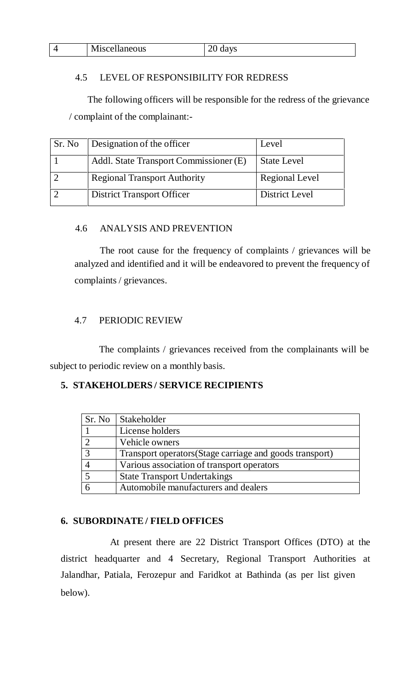|  | ് | $- \cdot$<br>--<br>אומ<br>.<br><b>MISCORDICOUS</b> | $\ddotsc$<br>-- |
|--|---|----------------------------------------------------|-----------------|
|--|---|----------------------------------------------------|-----------------|

# 4.5 LEVEL OF RESPONSIBILITY FOR REDRESS

The following officers will be responsible for the redress of the grievance / complaint of the complainant:-

| Sr. No | Designation of the officer             | Level              |
|--------|----------------------------------------|--------------------|
|        | Addl. State Transport Commissioner (E) | <b>State Level</b> |
|        | <b>Regional Transport Authority</b>    | Regional Level     |
|        | <b>District Transport Officer</b>      | District Level     |

## 4.6 ANALYSIS AND PREVENTION

The root cause for the frequency of complaints / grievances will be analyzed and identified and it will be endeavored to prevent the frequency of complaints / grievances.

## 4.7 PERIODIC REVIEW

The complaints / grievances received from the complainants will be subject to periodic review on a monthly basis.

# **5. STAKEHOLDERS / SERVICE RECIPIENTS**

| Sr. No   Stakeholder                                     |
|----------------------------------------------------------|
| License holders                                          |
| Vehicle owners                                           |
| Transport operators (Stage carriage and goods transport) |
| Various association of transport operators               |
| <b>State Transport Undertakings</b>                      |
| Automobile manufacturers and dealers                     |

## **6. SUBORDINATE / FIELD OFFICES**

At present there are 22 District Transport Offices (DTO) at the district headquarter and 4 Secretary, Regional Transport Authorities at Jalandhar, Patiala, Ferozepur and Faridkot at Bathinda (as per list given below).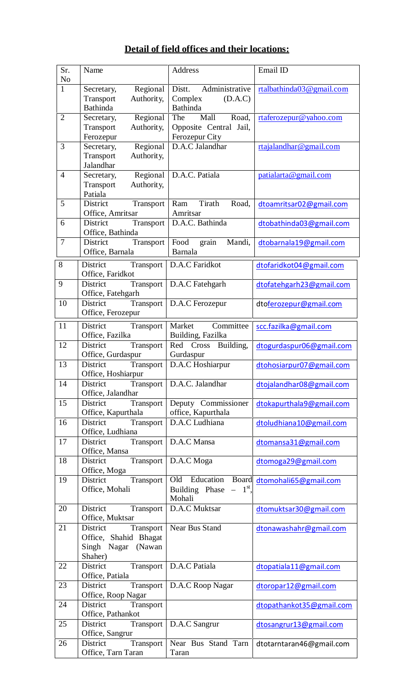# **Detail of field offices and their locations:**

| Sr.<br>No      | Name                                           | <b>Address</b>                            | Email ID                 |
|----------------|------------------------------------------------|-------------------------------------------|--------------------------|
| $\mathbf{1}$   | Regional<br>Secretary,                         | Administrative<br>Distt.                  | rtalbathinda03@gmail.com |
|                | Authority,<br>Transport                        | Complex<br>(D.A.C)                        |                          |
|                | Bathinda                                       | <b>Bathinda</b>                           |                          |
| $\overline{2}$ | Regional<br>Secretary,                         | The<br>Mall<br>Road,                      | rtaferozepur@yahoo.com   |
|                | Transport<br>Authority,                        | Opposite Central Jail,                    |                          |
|                | Ferozepur                                      | Ferozepur City                            |                          |
| 3              | Regional<br>Secretary,                         | D.A.C Jalandhar                           | rtajalandhar@gmail.com   |
|                | Transport<br>Authority,                        |                                           |                          |
|                | Jalandhar                                      |                                           |                          |
| $\overline{4}$ | Regional<br>Secretary,                         | D.A.C. Patiala                            | patialarta@gmail.com     |
|                | Transport<br>Authority,                        |                                           |                          |
|                | Patiala                                        |                                           |                          |
| 5              | District<br>Transport                          | Tirath<br>Road,<br>Ram                    | dtoamritsar02@gmail.com  |
|                | Office, Amritsar                               | Amritsar                                  |                          |
| 6              | District<br>Transport                          | D.A.C. Bathinda                           | dtobathinda03@gmail.com  |
|                | Office, Bathinda                               |                                           |                          |
| $\overline{7}$ | <b>District</b><br>Transport                   | Food<br>Mandi,<br>grain                   | dtobarnala19@gmail.com   |
|                | Office, Barnala                                | Barnala                                   |                          |
| 8              | District<br>Transport                          | D.A.C Faridkot                            | dtofaridkot04@gmail.com  |
|                | Office, Faridkot                               |                                           |                          |
| 9              | District<br>Transport                          | D.A.C Fatehgarh                           | dtofatehgarh23@gmail.com |
|                | Office, Fatehgarh                              |                                           |                          |
| 10             | District<br>Transport                          | D.A.C Ferozepur                           | dtoferozepur@gmail.com   |
|                | Office, Ferozepur                              |                                           |                          |
|                |                                                |                                           |                          |
| 11             | District<br>Transport                          | Committee<br>Market                       | scc.fazilka@gmail.com    |
|                | Office, Fazilka                                | Building, Fazilka                         |                          |
| 12             | District<br>Transport                          | Red Cross<br>Building,                    | dtogurdaspur06@gmail.com |
|                | Office, Gurdaspur                              | Gurdaspur                                 |                          |
| 13             | District<br>Transport                          | D.A.C Hoshiarpur                          | dtohosiarpur07@gmail.com |
|                | Office, Hoshiarpur                             |                                           |                          |
| 14             | District<br>Transport                          | D.A.C. Jalandhar                          | dtojalandhar08@gmail.com |
|                | Office, Jalandhar                              |                                           |                          |
| 15             | District<br>Transport                          | Deputy Commissioner<br>office, Kapurthala | dtokapurthala9@gmail.com |
|                | Office, Kapurthala<br>District                 | D.A.C Ludhiana                            |                          |
| 16             | Transport<br>Office, Ludhiana                  |                                           | dtoludhiana10@gmail.com  |
|                |                                                |                                           |                          |
| 17             | Transport<br>District                          | D.A.C Mansa                               | dtomansa31@gmail.com     |
|                | Office, Mansa                                  |                                           |                          |
| 18             | District<br>Transport                          | D.A.C Moga                                | dtomoga29@gmail.com      |
|                | Office, Moga                                   | Old<br>Education                          |                          |
| 19             | District<br>Transport                          | Board<br>$1^{\rm st}$                     | dtomohali65@gmail.com    |
|                | Office, Mohali                                 | Building Phase<br>Mohali                  |                          |
| 20             | District                                       |                                           |                          |
|                | Transport<br>Office, Muktsar                   | D.A.C Muktsar                             | dtomuktsar30@gmail.com   |
|                |                                                |                                           |                          |
| 21             | District<br>Transport<br>Office, Shahid Bhagat | Near Bus Stand                            | dtonawashahr@gmail.com   |
|                | Singh Nagar<br>(Nawan)                         |                                           |                          |
|                | Shaher)                                        |                                           |                          |
|                |                                                |                                           |                          |
| 22             | District<br>Transport                          | D.A.C Patiala                             | dtopatiala11@gmail.com   |
|                | Office, Patiala                                |                                           |                          |
| 23             | District<br>Transport                          | D.A.C Roop Nagar                          | dtoropar12@gmail.com     |
|                | Office, Roop Nagar                             |                                           |                          |
| 24             | District<br>Transport                          |                                           | dtopathankot35@gmail.com |
|                | Office, Pathankot                              |                                           |                          |
| 25             | District<br>Transport                          | D.A.C Sangrur                             | dtosangrur13@gmail.com   |
|                | Office, Sangrur                                |                                           |                          |
| 26             | District<br>Transport                          | Near Bus Stand Tarn                       | dtotarntaran46@gmail.com |
|                | Office, Tarn Taran                             | Taran                                     |                          |